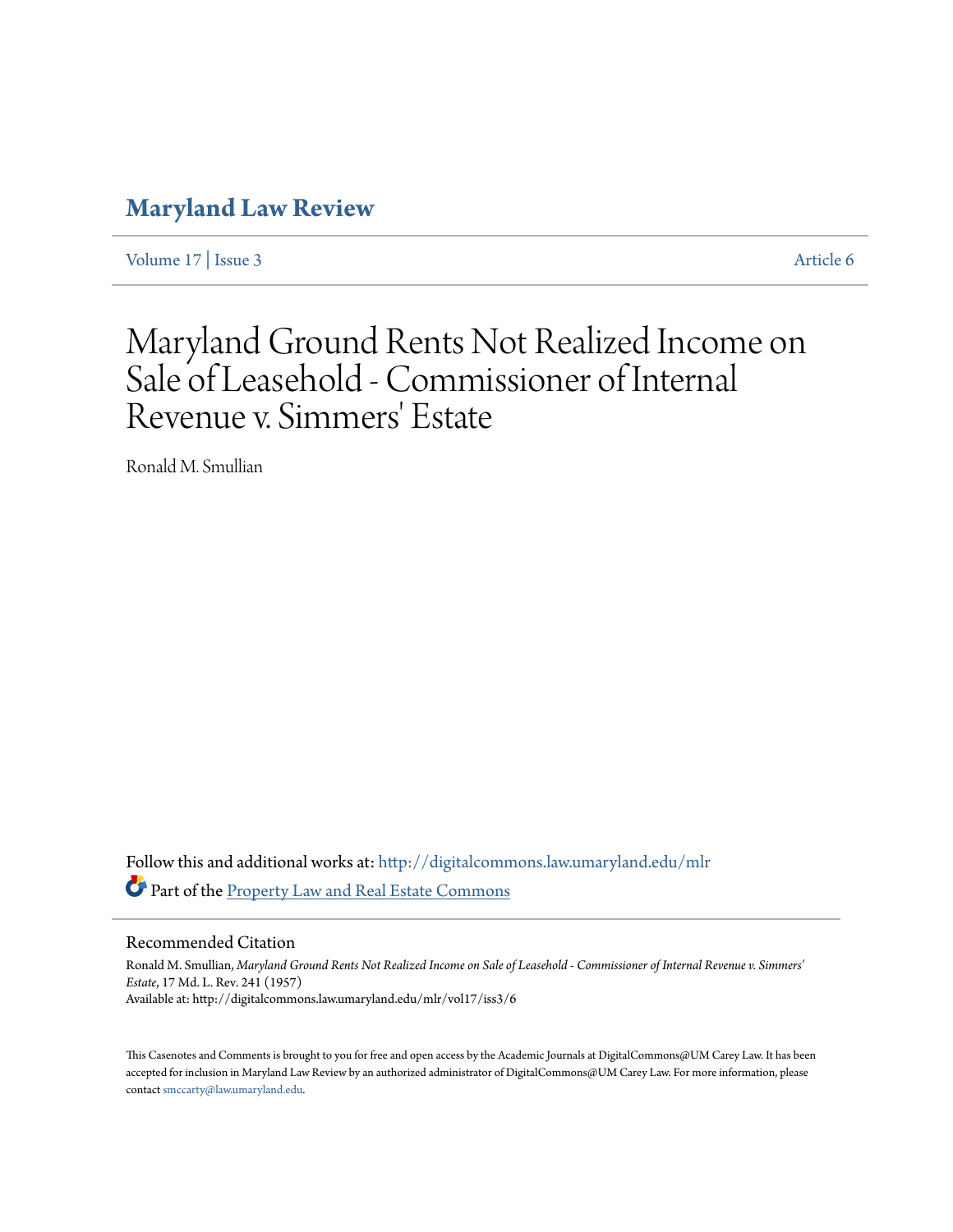## **[Maryland Law Review](http://digitalcommons.law.umaryland.edu/mlr?utm_source=digitalcommons.law.umaryland.edu%2Fmlr%2Fvol17%2Fiss3%2F6&utm_medium=PDF&utm_campaign=PDFCoverPages)**

[Volume 17](http://digitalcommons.law.umaryland.edu/mlr/vol17?utm_source=digitalcommons.law.umaryland.edu%2Fmlr%2Fvol17%2Fiss3%2F6&utm_medium=PDF&utm_campaign=PDFCoverPages) | [Issue 3](http://digitalcommons.law.umaryland.edu/mlr/vol17/iss3?utm_source=digitalcommons.law.umaryland.edu%2Fmlr%2Fvol17%2Fiss3%2F6&utm_medium=PDF&utm_campaign=PDFCoverPages) [Article 6](http://digitalcommons.law.umaryland.edu/mlr/vol17/iss3/6?utm_source=digitalcommons.law.umaryland.edu%2Fmlr%2Fvol17%2Fiss3%2F6&utm_medium=PDF&utm_campaign=PDFCoverPages)

## Maryland Ground Rents Not Realized Income on Sale of Leasehold - Commissioner of Internal Revenue v. Simmers' Estate

Ronald M. Smullian

Follow this and additional works at: [http://digitalcommons.law.umaryland.edu/mlr](http://digitalcommons.law.umaryland.edu/mlr?utm_source=digitalcommons.law.umaryland.edu%2Fmlr%2Fvol17%2Fiss3%2F6&utm_medium=PDF&utm_campaign=PDFCoverPages) Part of the [Property Law and Real Estate Commons](http://network.bepress.com/hgg/discipline/897?utm_source=digitalcommons.law.umaryland.edu%2Fmlr%2Fvol17%2Fiss3%2F6&utm_medium=PDF&utm_campaign=PDFCoverPages)

Recommended Citation

Ronald M. Smullian, *Maryland Ground Rents Not Realized Income on Sale of Leasehold - Commissioner of Internal Revenue v. Simmers' Estate*, 17 Md. L. Rev. 241 (1957) Available at: http://digitalcommons.law.umaryland.edu/mlr/vol17/iss3/6

This Casenotes and Comments is brought to you for free and open access by the Academic Journals at DigitalCommons@UM Carey Law. It has been accepted for inclusion in Maryland Law Review by an authorized administrator of DigitalCommons@UM Carey Law. For more information, please contact [smccarty@law.umaryland.edu.](mailto:smccarty@law.umaryland.edu)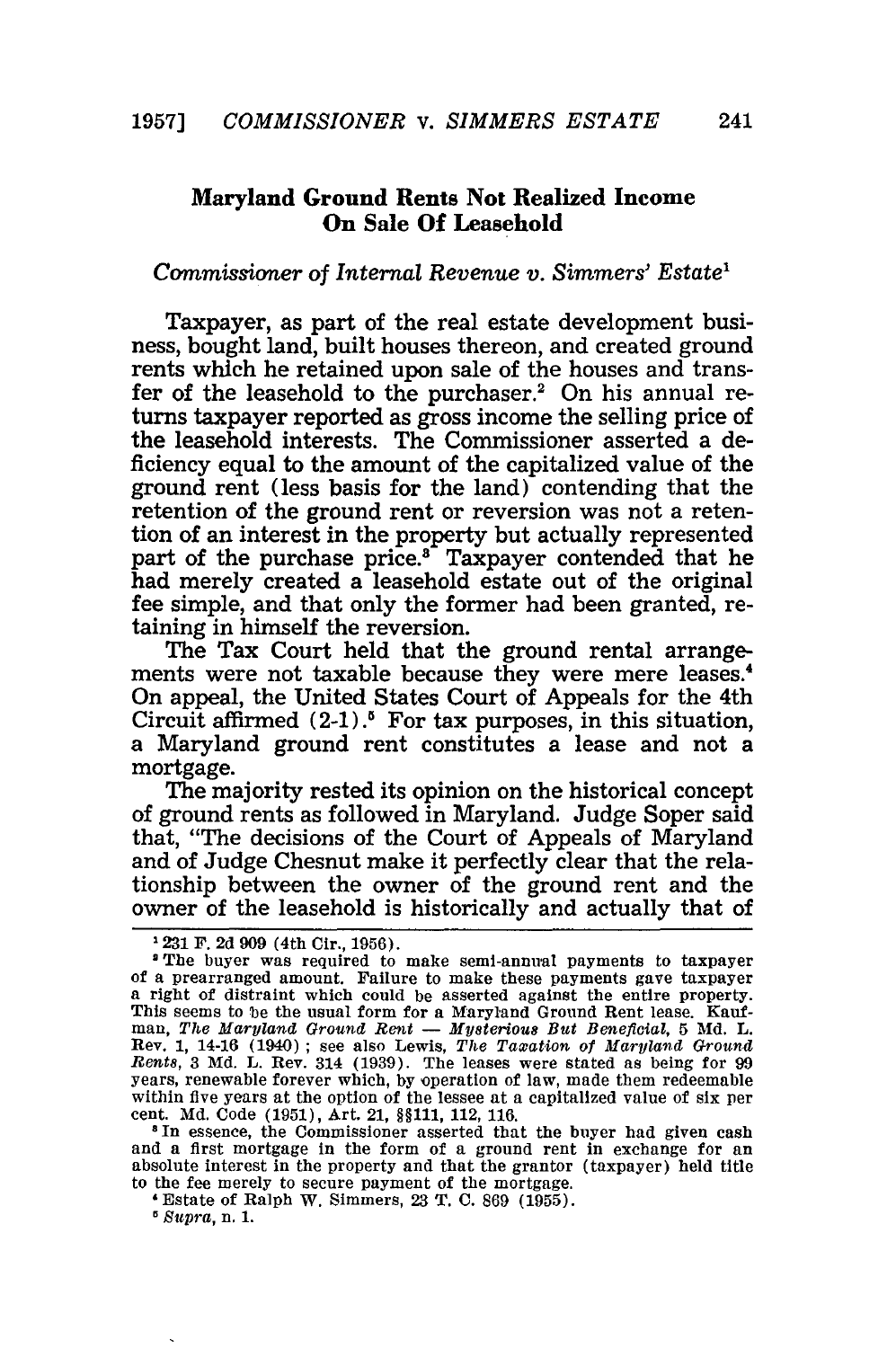## **Maryland Ground Rents Not Realized Income On Sale Of Leasehold**

## *Commissioner of Internal Revenue v. Simmers' Estate'*

Taxpayer, as part of the real estate development business, bought land, built houses thereon, and created ground rents which he retained upon sale of the houses and transfer of the leasehold to the purchaser.<sup>2</sup> On his annual returns taxpayer reported as gross income the selling price of the leasehold interests. The Commissioner asserted a deficiency equal to the amount of the capitalized value of the ground rent (less basis for the land) contending that the retention of the ground rent or reversion was not a retention of an interest in the property but actually represented part of the purchase price.<sup>3</sup> Taxpayer contended that he had merely created a leasehold estate out of the original fee simple, and that only the former had been granted, retaining in himself the reversion.

The Tax Court held that the ground rental arrangements were not taxable because they were mere leases.4 On appeal, the United States Court of Appeals for the 4th Circuit affirmed  $(2-1)$ .<sup>5</sup> For tax purposes, in this situation, a Maryland ground rent constitutes a lease and not a mortgage.

The majority rested its opinion on the historical concept of ground rents as followed in Maryland. Judge Soper said that, "The decisions of the Court of Appeals of Maryland and of Judge Chesnut make it perfectly clear that the relationship between the owner of the ground rent and the owner of the leasehold is historically and actually that of

**8** In essence, the Commissioner asserted that the buyer had given cash and a first mortgage in the form of a ground rent in exchange for an absolute interest in the property and that the grantor (taxpayer) held title to the fee merely to secure payment of the mortgage.

'Estate of Ralph W. Simmers, 23 T. **C.** 869 (1955).

*Supra,* n. **1.**

**<sup>1231</sup>** F. **2d 909** (4th Cir., 1956).

<sup>2</sup>The buyer was required to make semi-annual payments to taxpayer of a prearranged amount. Failure to make these payments gave taxpayer a right of distraint which could be asserted against the entire property. This seems to be the usual form for a Maryland Ground Rent lease. Kaufman, The Maryland Ground Rent - Mysterious But Beneficial, 5 Md. L. Rev. **1,** 14-16 (1940) ; see also Lewis, *The Taxation of Maryland Ground Rents,* 3 Md. L. Rev. 314 (1939). The leases were stated as being for 99 years, renewable forever which, by operation of law, made them redeemable within five years at the option of the lessee at a capitalized value of six per cent. **Md.** Code (1951), Art. 21, §§111, 112, 116.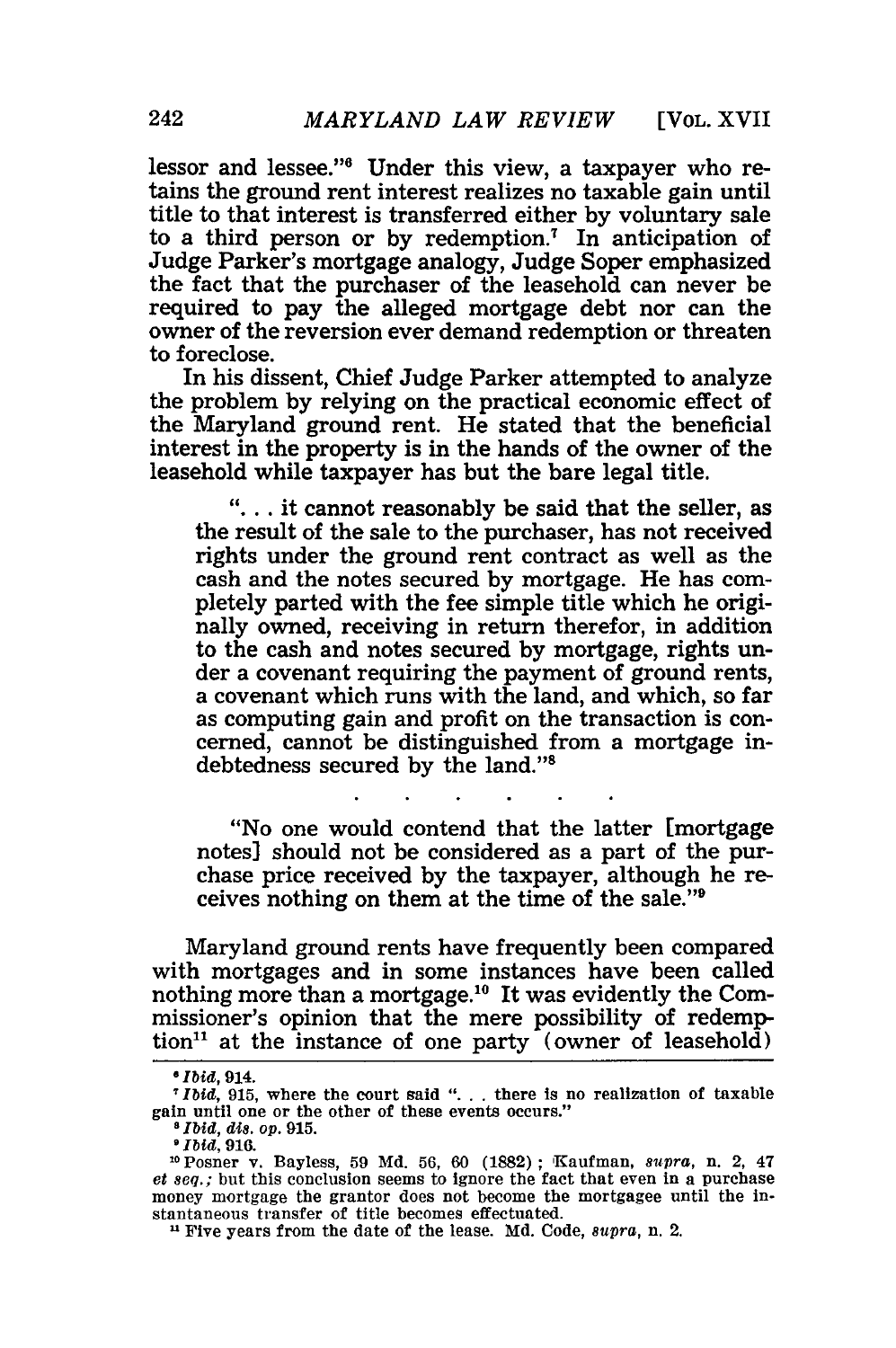[VOL. XVII

lessor and lessee."6 Under this view, a taxpayer who retains the ground rent interest realizes no taxable gain until title to that interest is transferred either by voluntary sale to a third person or by redemption.' In anticipation of Judge Parker's mortgage analogy, Judge Soper emphasized the fact that the purchaser of the leasehold can never be required to pay the alleged mortgage debt nor can the owner of the reversion ever demand redemption or threaten to foreclose.

In his dissent, Chief Judge Parker attempted to analyze the problem by relying on the practical economic effect of the Maryland ground rent. He stated that the beneficial interest in the property is in the hands of the owner of the leasehold while taxpayer has but the bare legal title.

**"....** it cannot reasonably be said that the seller, as the result of the sale to the purchaser, has not received rights under the ground rent contract as well as the cash and the notes secured by mortgage. He has completely parted with the fee simple title which he originally owned, receiving in return therefor, in addition to the cash and notes secured by mortgage, rights under a covenant requiring the payment of ground rents, a covenant which runs with the land, and which, so far as computing gain and profit on the transaction is concerned, cannot be distinguished from a mortgage indebtedness secured by the land."'

"No one would contend that the latter [mortgage notes] should not be considered as a part of the purchase price received by the taxpayer, although he receives nothing on them at the time of the sale."9

Maryland ground rents have frequently been compared with mortgages and in some instances have been called nothing more than a mortgage.<sup>10</sup> It was evidently the Commissioner's opinion that the mere possibility of redemption<sup>11</sup> at the instance of one party (owner of leasehold)

*<sup>8</sup> Ibid,* 914.

*Ibid,* 915, where the court said "... there Is no realization of taxable gain until one or the other of these events occurs."

*<sup>&#</sup>x27;Ibid, dis. op.* **915.**

*Ibid,* 916.<br><sup>10</sup> Posner v. Bayless, 59 Md. 56, 60 (1882); Kaufman, *supra*, n. 2, 47  $et seq.$ ; but this conclusion seems to ignore the fact that even in a purchase money mortgage the grantor does not become the mortgagee until the instantaneous transfer of title becomes effectuated.

**<sup>1</sup>** Five years from the date of the lease. Md. Code, *supra,* n. 2.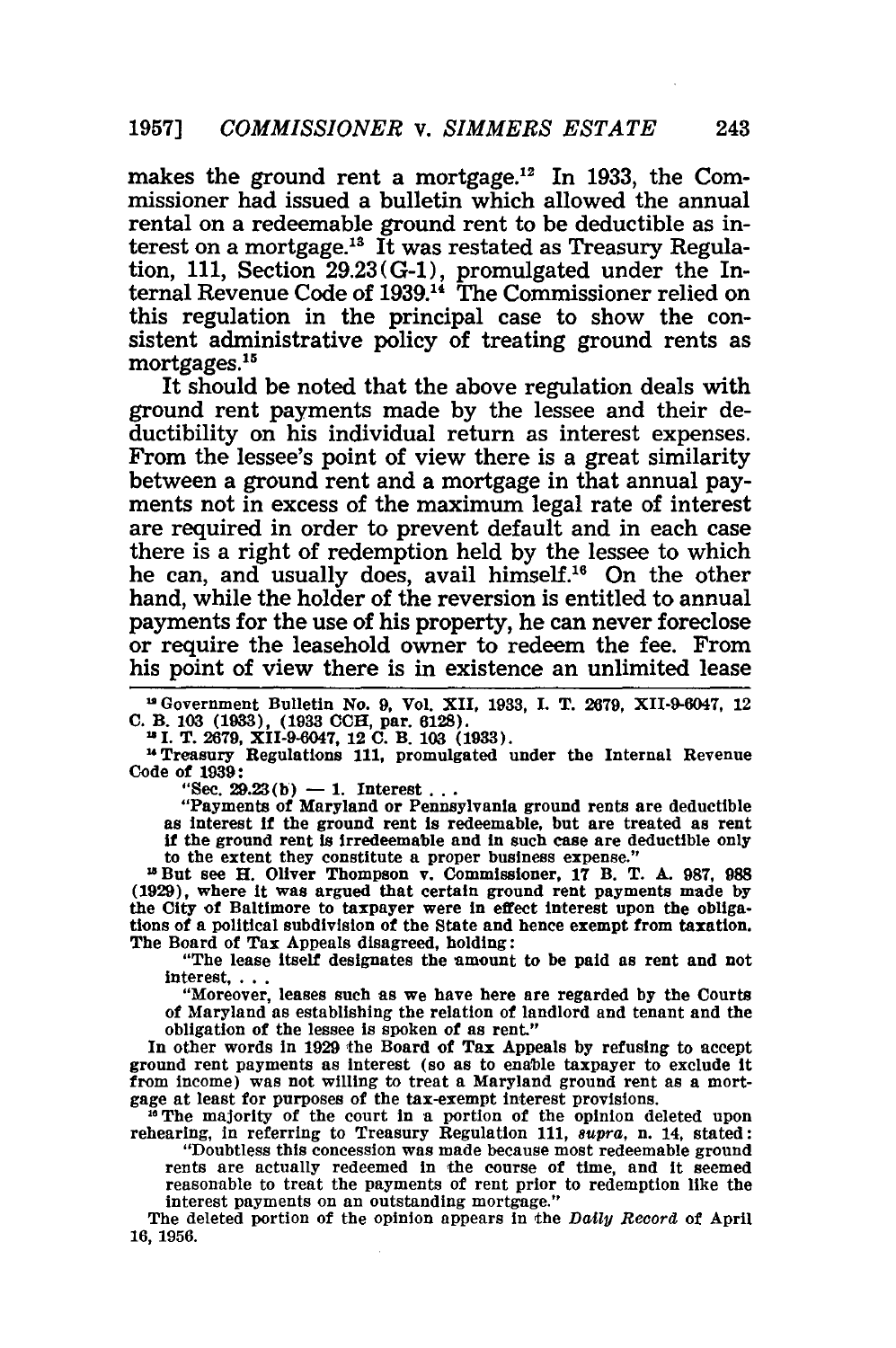makes the ground rent a mortgage.<sup>12</sup> In 1933, the Commissioner had issued a bulletin which allowed the annual rental on a redeemable ground rent to be deductible as interest on a mortgage.<sup>13</sup> It was restated as Treasury Regulation, 111, Section 29.23(G-1), promulgated under the Internal Revenue Code of 1939.<sup>14</sup> The Commissioner relied or this regulation in the principal case to show the consistent administrative policy of treating ground rents as mortgages.<sup>15</sup>

It should be noted that the above regulation deals with ground rent payments made by the lessee and their deductibility on his individual return as interest expenses. From the lessee's point of view there is a great similarity between a ground rent and a mortgage in that annual payments not in excess of the maximum legal rate of interest are required in order to prevent default and in each case there is a right of redemption held by the lessee to which he can, and usually does, avail himself.<sup>16</sup> On the other hand, while the holder of the reversion is entitled to annual payments for the use of his property, he can never foreclose or require the leasehold owner to redeem the fee. From his point of view there is in existence an unlimited lease

**12** Government Bulletin No. **9,** Vol. XII, **1933, I.** T. **2679,** XII-9-6047, 12 **C.** B. **103 (1933), (1933 CCH,** par. 6128).

**I.** T. **2679,** XII-9-6047, 12 **C.** B. **103 (1933).**

"Treasury Regulations **111,** promulgated under the Internal Revenue Code of **1939:**

 $"Sec. 29.23(b) - 1.$  Interest.

"Payments of Maryland or Pennsylvania ground rents are deductible **as** interest **if** the ground rent **is** redeemable, but are treated as rent as interest if the ground rent is redeemable, but are treated as rent if the ground rent is irredeemable and in such case are deductible only to the extent they constitute a proper business expense."

**"3** But see H. Oliver Thompson v. Commissioner, **17 B.** T. **A. 987, 988 (1929),** where it was argued that certain ground rent payments made **by** the City of Baltimore to taxpayer were in effect interest upon the obligations of a political subdivision of the State and hence exempt from taxation. The Board of Tax Appeals disagreed, holding:

"The lease itself designates the amount to be paid as rent and not interest....

"Moreover, leases such as we have here are regarded **by** the Courts of Maryland as establishing the relation of landlord and tenant and the obligation of the lessee Is spoken of as rent."

In other words in **1929** the Board of Tax Appeals **by** refusing to accept ground rent payments as interest (so as to enable taxpayer to exclude it from income) was not willing to treat a Maryland ground rent as a mortgage at least for purposes of the tax-exempt interest provisions.

<sup>16</sup> The majority of the court in a portion of the opinion deleted upon rehearing, in referring to Treasury Regulation **111,** *supra,* n. 14, stated:

"Doubtless this concession was made because most redeemable ground rents are actually redeemed in the course of time, and it seemed reasonable to treat the payments of rent prior to redemption like the interest payments on an outstanding mortgage."

The deleted portion of the opinion appears in the Daily Record of April 16, 1956.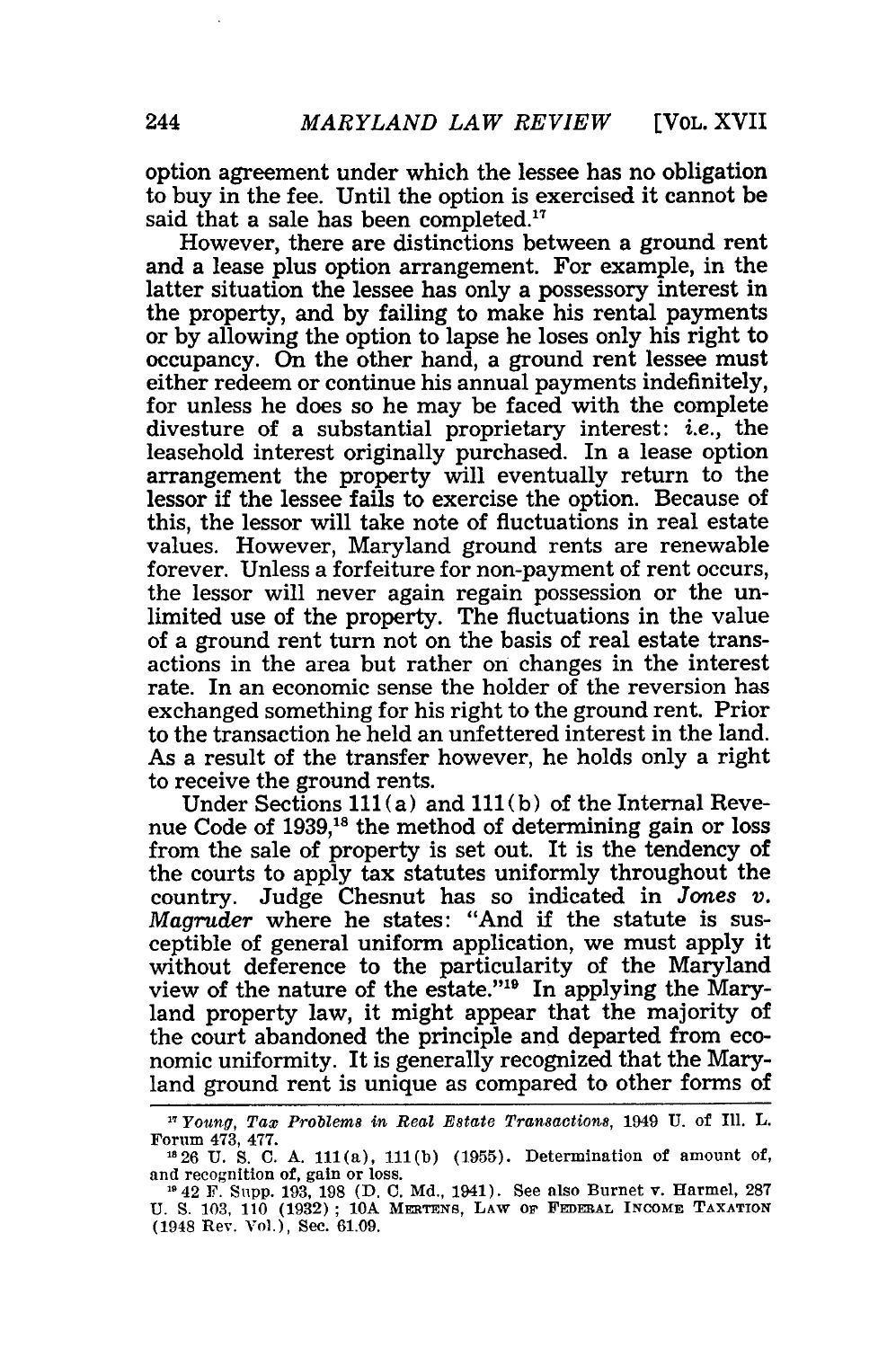[VOL. XVII

option agreement under which the lessee has no obligation to buy in the fee. Until the option is exercised it cannot be said that a sale has been completed.<sup>17</sup>

However, there are distinctions between a ground rent and a lease plus option arrangement. For example, in the latter situation the lessee has only a possessory interest in the property, and by failing to make his rental payments or by allowing the option to lapse he loses only his right to occupancy. On the other hand, a ground rent lessee must either redeem or continue his annual payments indefinitely, for unless he does so he may be faced with the complete divesture of a substantial proprietary interest: *i.e.,* the leasehold interest originally purchased. In a lease option arrangement the property will eventually return to the lessor if the lessee fails to exercise the option. Because of this, the lessor will take note of fluctuations in real estate values. However, Maryland ground rents are renewable forever. Unless a forfeiture for non-payment of rent occurs, the lessor will never again regain possession or the unlimited use of the property. The fluctuations in the value of a ground rent turn not on the basis of real estate transactions in the area but rather on changes in the interest rate. In an economic sense the holder of the reversion has exchanged something for his right to the ground rent. Prior to the transaction he held an unfettered interest in the land. As a result of the transfer however, he holds only a right to receive the ground rents.

Under Sections 111 (a) and **111(b)** of the Internal Revenue Code of 1939,18 the method of determining gain or loss from the sale of property is set out. It is the tendency of the courts to apply tax statutes uniformly throughout the country. Judge Chesnut has so indicated in *Jones v. Magruder* where he states: "And if the statute is susceptible of general uniform application, we must apply it without deference to the particularity of the Maryland view of the nature of the estate."'19 In applying the Maryland property law, it might appear that the majority of the court abandoned the principle and departed from economic uniformity. It is generally recognized that the Maryland ground rent is unique as compared to other forms of

**<sup>17</sup>***Young,* Tax *Problems in Real Estate Transactions,* 1949 U. of Ill. L. Forum 473, 477. **<sup>826</sup>**U. S. C. A. i1(a), **111(b)** (1955). Determination of amount of,

<sup>&</sup>lt;sup>13</sup> 26 U.S. C.A. 111(a), 111(b) (1955). Determination of amount of, and recognition of, gain or loss.

**<sup>1142</sup>** F. Supp. 193, 198 **(D.** C. Md., 1941). See also Burnet v. Harmel, 287 U. **S.** 103, 110 (1932); **10A** MERTrNS, LAW or **FEDerAL** INCOME **TAXATION** (1948 Rev. Vol.), Sec. 61.09.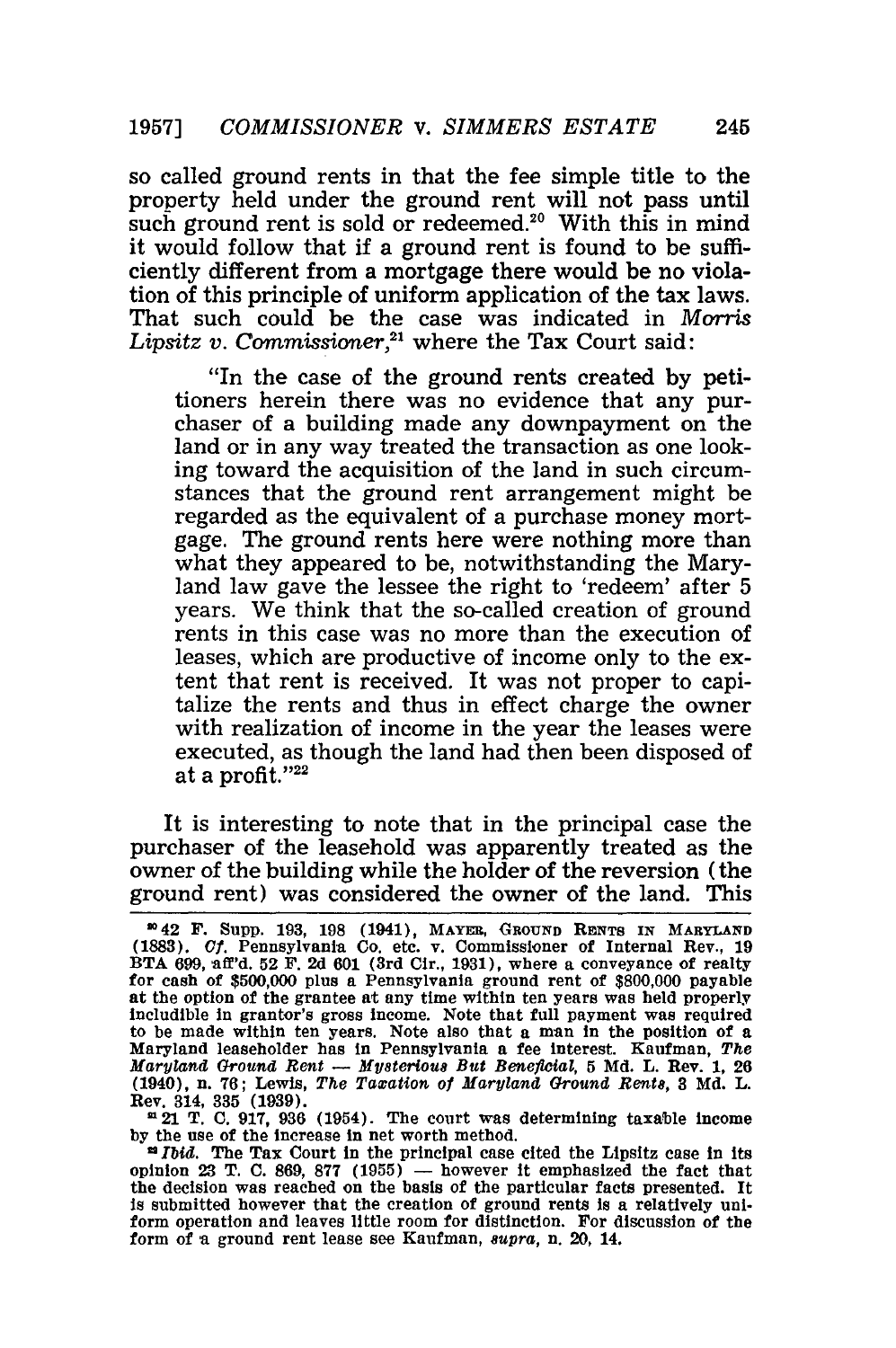so called ground rents in that the fee simple title to the property held under the ground rent will not pass until such ground rent is sold or redeemed.<sup>20</sup> With this in mind it would follow that if a ground rent is found to be sufficiently different from a mortgage there would be no violation of this principle of uniform application of the tax laws. That such could be the case was indicated in *Morris* Lipsitz v. Commissioner,<sup>21</sup> where the Tax Court said:

"In the case of the ground rents created by petitioners herein there was no evidence that any purchaser of a building made any downpayment on the land or in any way treated the transaction as one looking toward the acquisition of the land in such circumstances that the ground rent arrangement might be regarded as the equivalent of a purchase money mortgage. The ground rents here were nothing more than what they appeared to be, notwithstanding the Maryland law gave the lessee the right to 'redeem' after 5 years. We think that the so-called creation of ground rents in this case was no more than the execution of leases, which are productive of income only to the extent that rent is received. It was not proper to capitalize the rents and thus in effect charge the owner with realization of income in the year the leases were executed, as though the land had then been disposed of at a profit." $22$ 

It is interesting to note that in the principal case the purchaser of the leasehold was apparently treated as the owner of the building while the holder of the reversion (the ground rent) was considered the owner of the land. This

21 T. **C.** 917, **936** (1954). The court was determining taxable income by the use of the increase in net worth method.

*0 Ibid.* The Tax Court in the principal case cited the Lipsitz case In its opinion 23 T. C. 869, 877  $(1955)$  - however it emphasized the fact that the decision was reached on the basis of the particular facts presented. It is submitted however that the creation of ground rents is a relatively uniform operation and leaves little room for distinction. For discussion of the form of a ground rent lease see Kaufman, *supra*, n. 20, 14.

m 42 **F.** Supp. **193, 198** (1941), MAYER, **GROUND RENTS** IN MARYLAND **(1883). Of.** Pennsylvania Co. etc. v. Commissioner of Internal Rev., **19** BTA **699, aff'd. 52** F. **2d 601** (3rd Cir., 1931), where a conveyance of realty for cash of \$500,000 plus a Pennsylvania ground rent of \$800,000 payable at the option of the grantee at any time within ten years was held properly includible in grantor's gross income. Note that full payment was required to be made within ten years. Note also that a man in the position of a Maryland leaseholder has in Pennsylvania a fee interest. Kaufman, *The Maryland Ground Rent* **-** *Mysterious But Beneficial,* 5 Md. L. Rev. 1, 26 (1940), n. 76; Lewis, *The Taxation o1 Maryland Ground* Rents, **3** Md. L. Rev. 314, 335 (1939).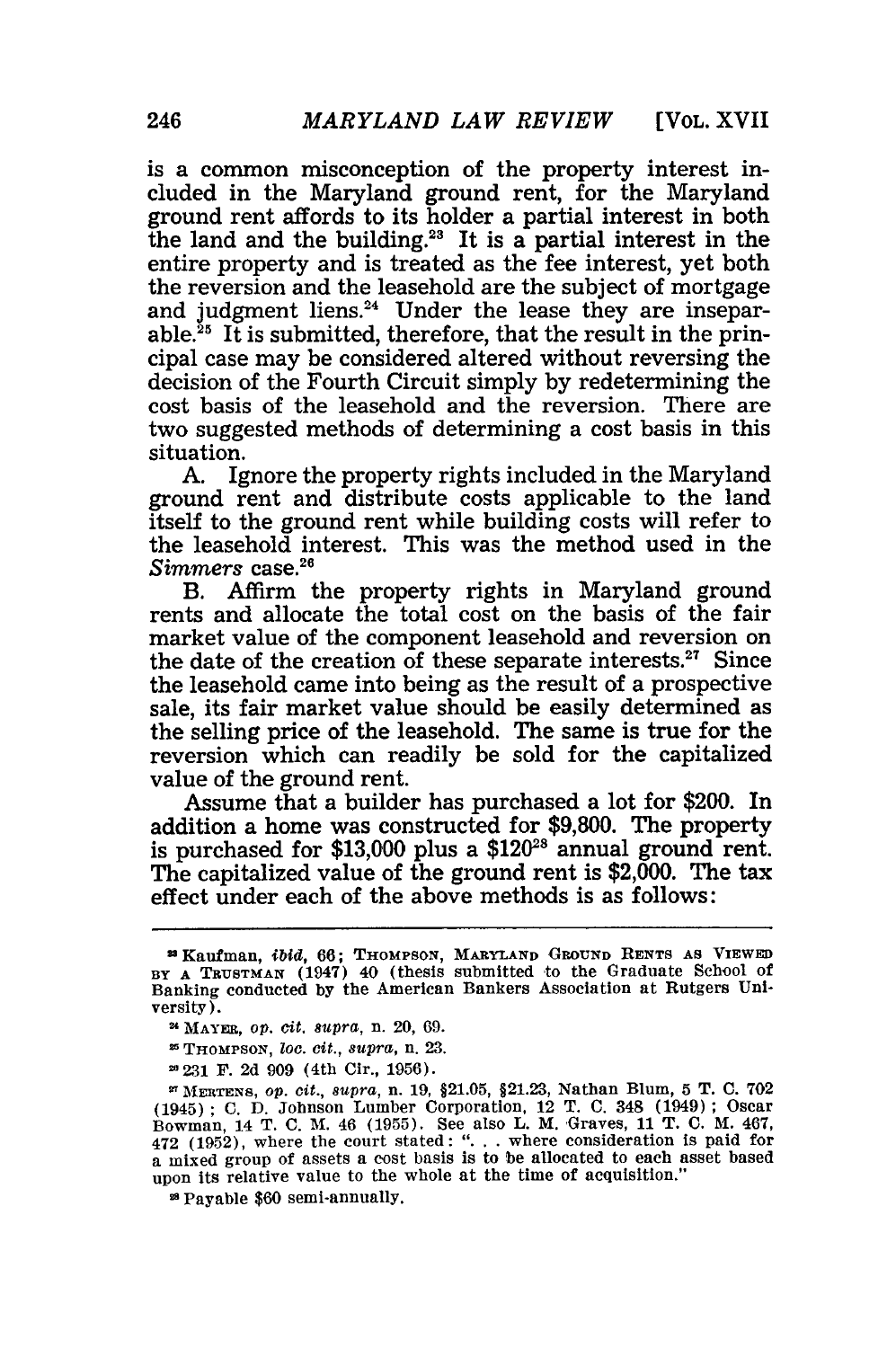[VOL. XVII

is a common misconception of the property interest included in the Maryland ground rent, for the Maryland ground rent affords to its holder a partial interest in both the land and the building.<sup>23</sup> It is a partial interest in the entire property and is treated as the fee interest, yet both the reversion and the leasehold are the subject of mortgage and judgment liens.<sup>24</sup> Under the lease they are inseparable. ${}^{25}$  It is submitted, therefore, that the result in the principal case may be considered altered without reversing the decision of the Fourth Circuit simply by redetermining the cost basis of the leasehold and the reversion. There are two suggested methods of determining a cost basis in this situation.

A. Ignore the property rights included in the Maryland ground rent and distribute costs applicable to the land itself to the ground rent while building costs will refer to the leasehold interest. This was the method used in the Simmers case.<sup>26</sup>

B. Affirm the property rights in Maryland ground rents and allocate the total cost on the basis of the fair market value of the component leasehold and reversion on the date of the creation of these separate interests.<sup>27</sup> Since the leasehold came into being as the result of a prospective sale, its fair market value should be easily determined as the selling price of the leasehold. The same is true for the reversion which can readily be sold for the capitalized value of the ground rent.

Assume that a builder has purchased a lot for \$200. In addition a home was constructed for \$9,800. The property is purchased for \$13,000 plus a  $$120^{28}$  annual ground rent. The capitalized value of the ground rent is  $$2,000$ . The tax effect under each of the above methods is as follows:

28Payable **\$60** semi-annually.

aKaufman, *ibid,* **66; THOMPSON, MARYLAND GROUND RENTS AS VIEWED** BY A TRUSTMAN (1947) 40 (thesis submitted to the Graduate School of Banking conducted **by** the American Bankers Association at Rutgers University).

**<sup>2&#</sup>x27;MAYER,** op. *cit. supra,* n. 20, **69.**

**THOMPSON,** zoo. *cit., supra,* n. 23.

**<sup>-2.31</sup>** F. 2d 909 (4th Cir., 1956).

**MERTENS,** op. *cit., supra,* n. 19, §21.05, §21.23, Nathan Blum, **5** T. **C. 702** (1945); C. D. Johnson Lumber Corporation, 12 T. **C.** 348 (1949); Oscar Bowman, 14 T. **C.** M. 46 (1955). See also L. M. Graves, 11 T. C. M. 467, 472 (1952), where the court stated: ". **.** . where consideration is paid for a mixed group of assets a cost basis is to be allocated to each asset based upon its relative value to the whole at the time of acquisition."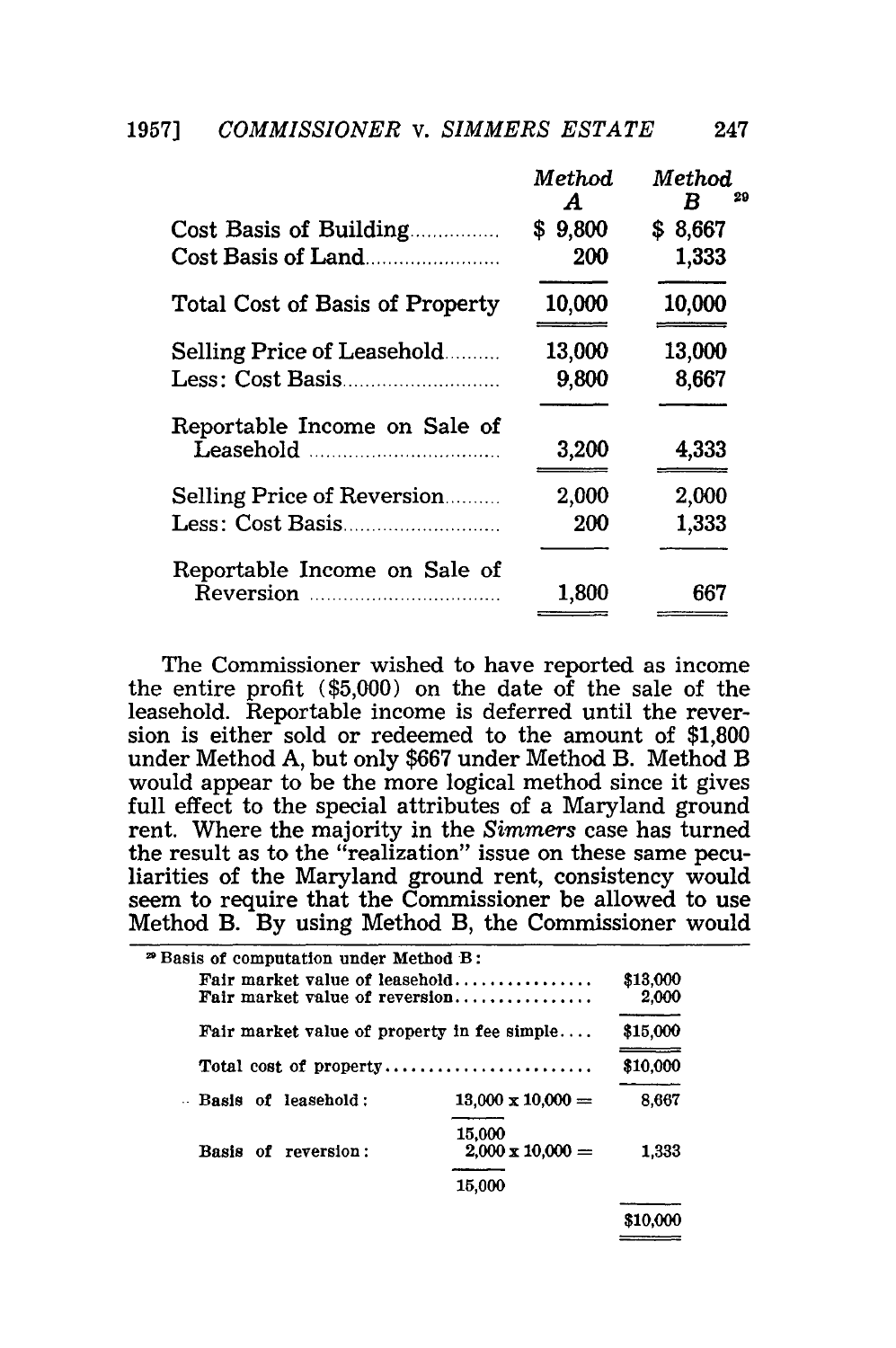1957] *COMMISSIONER v. SIMMERS ESTATE* 247

|                                 | Method<br>A | Method<br>29<br>R |
|---------------------------------|-------------|-------------------|
| Cost Basis of Building          | \$9,800     | \$8,667           |
| Cost Basis of Land              | 200         | 1,333             |
| Total Cost of Basis of Property | 10,000      | 10,000            |
| Selling Price of Leasehold      | 13,000      | 13,000            |
|                                 | 9,800       | 8,667             |
| Reportable Income on Sale of    | 3,200       | 4,333             |
| Selling Price of Reversion      | 2,000       | 2,000             |
|                                 | 200         | 1,333             |
| Reportable Income on Sale of    |             |                   |
|                                 | 1,800       | 667               |
|                                 |             |                   |

The Commissioner wished to have reported as income the entire profit (\$5,000) on the date of the sale of the leasehold. Reportable income is deferred until the reversion is either sold or redeemed to the amount of \$1,800 under Method A, but only \$667 under Method B. Method B would appear to be the more logical method since it gives full effect to the special attributes of a Maryland ground rent. Where the majority in the *Simmers* case has turned the result as to the "realization" issue on these same peculiarities of the Maryland ground rent, consistency would seem to require that the Commissioner be allowed to use Method B. By using Method B, the Commissioner would

| <sup>29</sup> Basis of computation under Method B:               |                                   |                   |
|------------------------------------------------------------------|-----------------------------------|-------------------|
| Fair market value of leasehold<br>Fair market value of reversion |                                   | \$13,000<br>2,000 |
| Fair market value of property in fee simple                      |                                   | \$15,000          |
|                                                                  |                                   | \$10,000          |
| - Basis of leaschold:                                            | $13,000 \times 10,000 =$          | 8.667             |
| Basis of reversion:                                              | 15,000<br>$2,000 \times 10,000 =$ | 1.333             |
|                                                                  | 15.000                            |                   |
|                                                                  |                                   |                   |

**\$10,000**